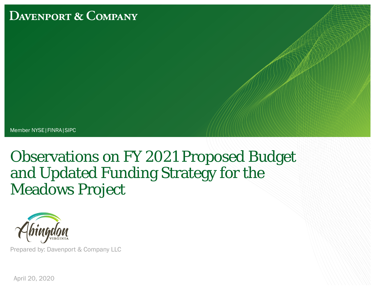## **DAVENPORT & COMPANY**

Member NYSE|FINRA|SIPC

# Observations on FY 2021 Proposed Budget and Updated Funding Strategy for the Meadows Project



Prepared by: Davenport & Company LLC

April 20, 2020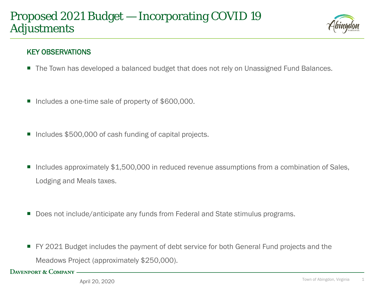## Proposed 2021 Budget — Incorporating COVID 19 Adjustments



#### KEY OBSERVATIONS

- The Town has developed a balanced budget that does not rely on Unassigned Fund Balances.
- Includes a one-time sale of property of \$600,000.
- Includes \$500,000 of cash funding of capital projects.
- Includes approximately \$1,500,000 in reduced revenue assumptions from a combination of Sales, Lodging and Meals taxes.
- Does not include/anticipate any funds from Federal and State stimulus programs.
- FY 2021 Budget includes the payment of debt service for both General Fund projects and the Meadows Project (approximately \$250,000).

DAVENPORT & COMPANY -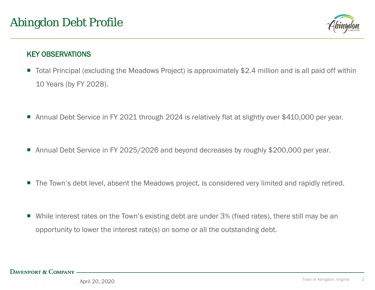

#### KEY OBSERVATIONS

- Total Principal (excluding the Meadows Project) is approximately \$2.4 million and is all paid off within 10 Years (by FY 2028).
- Annual Debt Service in FY 2021 through 2024 is relatively flat at slightly over \$410,000 per year.
- Annual Debt Service in FY 2025/2026 and beyond decreases by roughly \$200,000 per year.
- The Town's debt level, absent the Meadows project, is considered very limited and rapidly retired.
- While interest rates on the Town's existing debt are under 3% (fixed rates), there still may be an opportunity to lower the interest rate(s) on some or all the outstanding debt.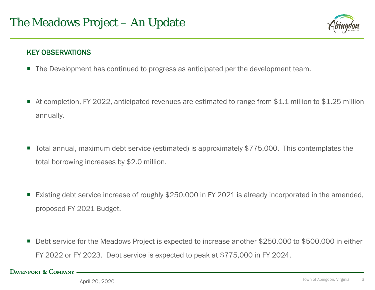

#### KEY OBSERVATIONS

- The Development has continued to progress as anticipated per the development team.
- At completion, FY 2022, anticipated revenues are estimated to range from \$1.1 million to \$1.25 million annually.
- Total annual, maximum debt service (estimated) is approximately \$775,000. This contemplates the total borrowing increases by \$2.0 million.
- Existing debt service increase of roughly \$250,000 in FY 2021 is already incorporated in the amended, proposed FY 2021 Budget.
- Debt service for the Meadows Project is expected to increase another \$250,000 to \$500,000 in either FY 2022 or FY 2023. Debt service is expected to peak at \$775,000 in FY 2024.

**DAVENPORT & COMPANY -**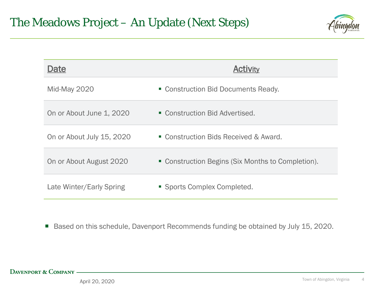

| Date                      | <b>Activity</b>                                   |
|---------------------------|---------------------------------------------------|
| Mid-May 2020              | • Construction Bid Documents Ready.               |
| On or About June 1, 2020  | • Construction Bid Advertised.                    |
| On or About July 15, 2020 | • Construction Bids Received & Award.             |
| On or About August 2020   | • Construction Begins (Six Months to Completion). |
| Late Winter/Early Spring  | • Sports Complex Completed.                       |

Based on this schedule, Davenport Recommends funding be obtained by July 15, 2020.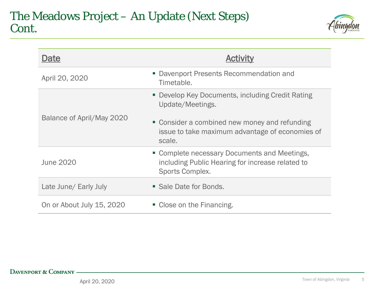

| Date                      |                                                                                                                            |
|---------------------------|----------------------------------------------------------------------------------------------------------------------------|
| April 20, 2020            | • Davenport Presents Recommendation and<br>Timetable.                                                                      |
| Balance of April/May 2020 | • Develop Key Documents, including Credit Rating<br>Update/Meetings.                                                       |
|                           | • Consider a combined new money and refunding<br>issue to take maximum advantage of economies of<br>scale.                 |
| <b>June 2020</b>          | • Complete necessary Documents and Meetings,<br>including Public Hearing for increase related to<br><b>Sports Complex.</b> |
| Late June/ Early July     | • Sale Date for Bonds.                                                                                                     |
| On or About July 15, 2020 | • Close on the Financing.                                                                                                  |

#### DAVENPORT & COMPANY -